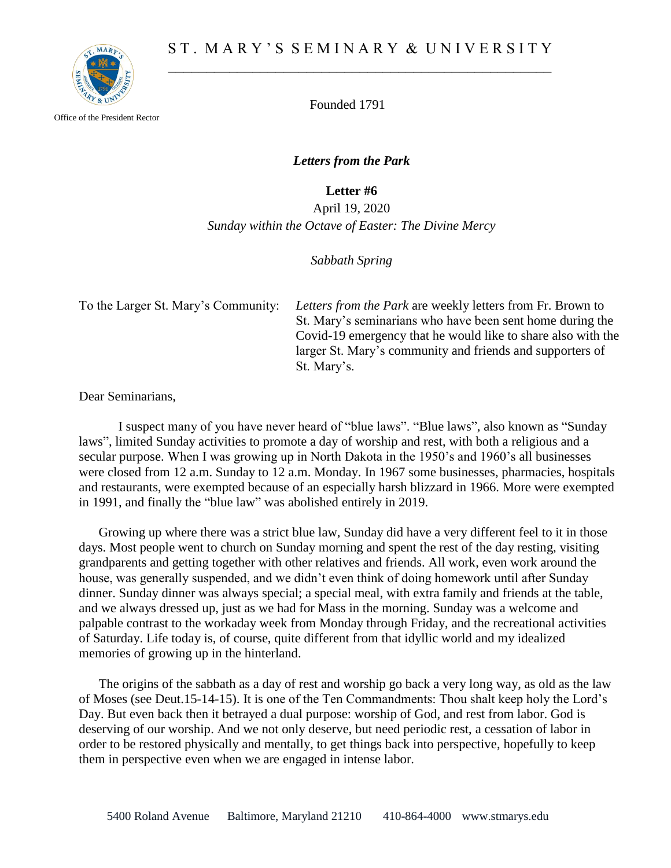

Office of the President Rector

Founded 1791

*Letters from the Park*

**Letter #6**

April 19, 2020 *Sunday within the Octave of Easter: The Divine Mercy*

*Sabbath Spring* 

To the Larger St. Mary's Community: *Letters from the Park* are weekly letters from Fr. Brown to St. Mary's seminarians who have been sent home during the Covid-19 emergency that he would like to share also with the larger St. Mary's community and friends and supporters of St. Mary's.

Dear Seminarians,

I suspect many of you have never heard of "blue laws". "Blue laws", also known as "Sunday laws", limited Sunday activities to promote a day of worship and rest, with both a religious and a secular purpose. When I was growing up in North Dakota in the 1950's and 1960's all businesses were closed from 12 a.m. Sunday to 12 a.m. Monday. In 1967 some businesses, pharmacies, hospitals and restaurants, were exempted because of an especially harsh blizzard in 1966. More were exempted in 1991, and finally the "blue law" was abolished entirely in 2019.

Growing up where there was a strict blue law, Sunday did have a very different feel to it in those days. Most people went to church on Sunday morning and spent the rest of the day resting, visiting grandparents and getting together with other relatives and friends. All work, even work around the house, was generally suspended, and we didn't even think of doing homework until after Sunday dinner. Sunday dinner was always special; a special meal, with extra family and friends at the table, and we always dressed up, just as we had for Mass in the morning. Sunday was a welcome and palpable contrast to the workaday week from Monday through Friday, and the recreational activities of Saturday. Life today is, of course, quite different from that idyllic world and my idealized memories of growing up in the hinterland.

The origins of the sabbath as a day of rest and worship go back a very long way, as old as the law of Moses (see Deut.15-14-15). It is one of the Ten Commandments: Thou shalt keep holy the Lord's Day. But even back then it betrayed a dual purpose: worship of God, and rest from labor. God is deserving of our worship. And we not only deserve, but need periodic rest, a cessation of labor in order to be restored physically and mentally, to get things back into perspective, hopefully to keep them in perspective even when we are engaged in intense labor.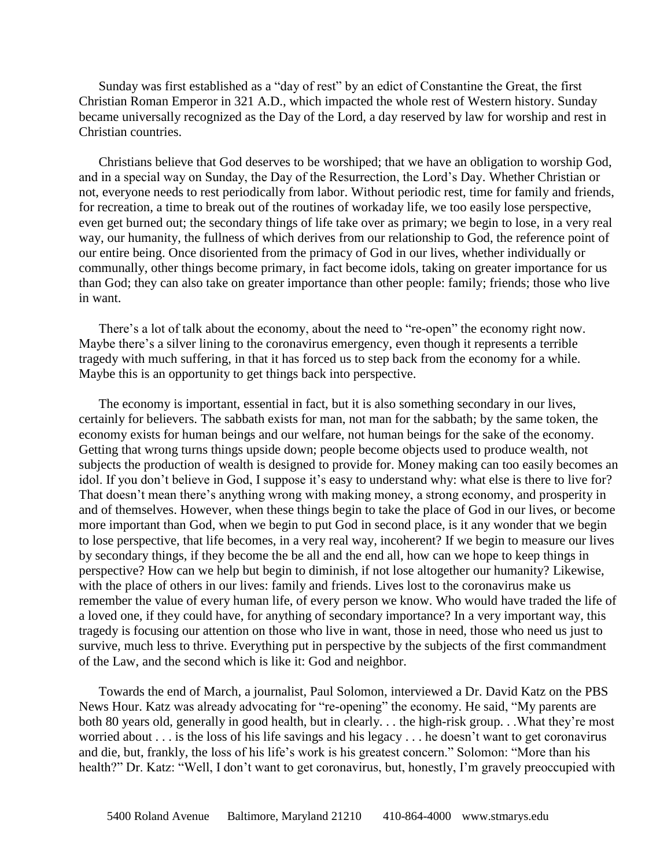Sunday was first established as a "day of rest" by an edict of Constantine the Great, the first Christian Roman Emperor in 321 A.D., which impacted the whole rest of Western history. Sunday became universally recognized as the Day of the Lord, a day reserved by law for worship and rest in Christian countries.

Christians believe that God deserves to be worshiped; that we have an obligation to worship God, and in a special way on Sunday, the Day of the Resurrection, the Lord's Day. Whether Christian or not, everyone needs to rest periodically from labor. Without periodic rest, time for family and friends, for recreation, a time to break out of the routines of workaday life, we too easily lose perspective, even get burned out; the secondary things of life take over as primary; we begin to lose, in a very real way, our humanity, the fullness of which derives from our relationship to God, the reference point of our entire being. Once disoriented from the primacy of God in our lives, whether individually or communally, other things become primary, in fact become idols, taking on greater importance for us than God; they can also take on greater importance than other people: family; friends; those who live in want.

There's a lot of talk about the economy, about the need to "re-open" the economy right now. Maybe there's a silver lining to the coronavirus emergency, even though it represents a terrible tragedy with much suffering, in that it has forced us to step back from the economy for a while. Maybe this is an opportunity to get things back into perspective.

The economy is important, essential in fact, but it is also something secondary in our lives, certainly for believers. The sabbath exists for man, not man for the sabbath; by the same token, the economy exists for human beings and our welfare, not human beings for the sake of the economy. Getting that wrong turns things upside down; people become objects used to produce wealth, not subjects the production of wealth is designed to provide for. Money making can too easily becomes an idol. If you don't believe in God, I suppose it's easy to understand why: what else is there to live for? That doesn't mean there's anything wrong with making money, a strong economy, and prosperity in and of themselves. However, when these things begin to take the place of God in our lives, or become more important than God, when we begin to put God in second place, is it any wonder that we begin to lose perspective, that life becomes, in a very real way, incoherent? If we begin to measure our lives by secondary things, if they become the be all and the end all, how can we hope to keep things in perspective? How can we help but begin to diminish, if not lose altogether our humanity? Likewise, with the place of others in our lives: family and friends. Lives lost to the coronavirus make us remember the value of every human life, of every person we know. Who would have traded the life of a loved one, if they could have, for anything of secondary importance? In a very important way, this tragedy is focusing our attention on those who live in want, those in need, those who need us just to survive, much less to thrive. Everything put in perspective by the subjects of the first commandment of the Law, and the second which is like it: God and neighbor.

Towards the end of March, a journalist, Paul Solomon, interviewed a Dr. David Katz on the PBS News Hour. Katz was already advocating for "re-opening" the economy. He said, "My parents are both 80 years old, generally in good health, but in clearly. . . the high-risk group. . .What they're most worried about . . . is the loss of his life savings and his legacy . . . he doesn't want to get coronavirus and die, but, frankly, the loss of his life's work is his greatest concern." Solomon: "More than his health?" Dr. Katz: "Well, I don't want to get coronavirus, but, honestly, I'm gravely preoccupied with